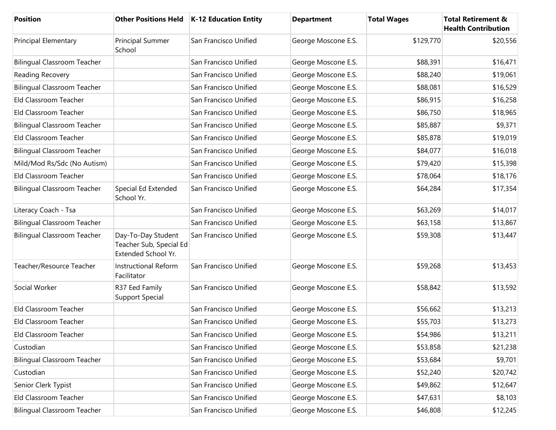| <b>Position</b>                    |                                                                      | Other Positions Held   K-12 Education Entity | <b>Department</b>   | <b>Total Wages</b> | <b>Total Retirement &amp;</b><br><b>Health Contribution</b> |
|------------------------------------|----------------------------------------------------------------------|----------------------------------------------|---------------------|--------------------|-------------------------------------------------------------|
| Principal Elementary               | Principal Summer<br>School                                           | San Francisco Unified                        | George Moscone E.S. | \$129,770          | \$20,556                                                    |
| <b>Bilingual Classroom Teacher</b> |                                                                      | San Francisco Unified                        | George Moscone E.S. | \$88,391           | \$16,471                                                    |
| Reading Recovery                   |                                                                      | San Francisco Unified                        | George Moscone E.S. | \$88,240           | \$19,061                                                    |
| <b>Bilingual Classroom Teacher</b> |                                                                      | San Francisco Unified                        | George Moscone E.S. | \$88,081           | \$16,529                                                    |
| Eld Classroom Teacher              |                                                                      | San Francisco Unified                        | George Moscone E.S. | \$86,915           | \$16,258                                                    |
| Eld Classroom Teacher              |                                                                      | San Francisco Unified                        | George Moscone E.S. | \$86,750           | \$18,965                                                    |
| <b>Bilingual Classroom Teacher</b> |                                                                      | San Francisco Unified                        | George Moscone E.S. | \$85,887           | \$9,371                                                     |
| Eld Classroom Teacher              |                                                                      | San Francisco Unified                        | George Moscone E.S. | \$85,878           | \$19,019                                                    |
| <b>Bilingual Classroom Teacher</b> |                                                                      | San Francisco Unified                        | George Moscone E.S. | \$84,077           | \$16,018                                                    |
| Mild/Mod Rs/Sdc (No Autism)        |                                                                      | San Francisco Unified                        | George Moscone E.S. | \$79,420           | \$15,398                                                    |
| Eld Classroom Teacher              |                                                                      | San Francisco Unified                        | George Moscone E.S. | \$78,064           | \$18,176                                                    |
| <b>Bilingual Classroom Teacher</b> | Special Ed Extended<br>School Yr.                                    | San Francisco Unified                        | George Moscone E.S. | \$64,284           | \$17,354                                                    |
| Literacy Coach - Tsa               |                                                                      | San Francisco Unified                        | George Moscone E.S. | \$63,269           | \$14,017                                                    |
| <b>Bilingual Classroom Teacher</b> |                                                                      | San Francisco Unified                        | George Moscone E.S. | \$63,158           | \$13,867                                                    |
| <b>Bilingual Classroom Teacher</b> | Day-To-Day Student<br>Teacher Sub, Special Ed<br>Extended School Yr. | San Francisco Unified                        | George Moscone E.S. | \$59,308           | \$13,447                                                    |
| Teacher/Resource Teacher           | <b>Instructional Reform</b><br>Facilitator                           | San Francisco Unified                        | George Moscone E.S. | \$59,268           | \$13,453                                                    |
| Social Worker                      | R37 Eed Family<br><b>Support Special</b>                             | San Francisco Unified                        | George Moscone E.S. | \$58,842           | \$13,592                                                    |
| Eld Classroom Teacher              |                                                                      | San Francisco Unified                        | George Moscone E.S. | \$56,662           | \$13,213                                                    |
| Eld Classroom Teacher              |                                                                      | San Francisco Unified                        | George Moscone E.S. | \$55,703           | \$13,273                                                    |
| Eld Classroom Teacher              |                                                                      | San Francisco Unified                        | George Moscone E.S. | \$54,986           | \$13,211                                                    |
| Custodian                          |                                                                      | San Francisco Unified                        | George Moscone E.S. | \$53,858           | \$21,238                                                    |
| <b>Bilingual Classroom Teacher</b> |                                                                      | San Francisco Unified                        | George Moscone E.S. | \$53,684           | \$9,701                                                     |
| Custodian                          |                                                                      | San Francisco Unified                        | George Moscone E.S. | \$52,240           | \$20,742                                                    |
| Senior Clerk Typist                |                                                                      | San Francisco Unified                        | George Moscone E.S. | \$49,862           | \$12,647                                                    |
| Eld Classroom Teacher              |                                                                      | San Francisco Unified                        | George Moscone E.S. | \$47,631           | \$8,103                                                     |
| <b>Bilingual Classroom Teacher</b> |                                                                      | San Francisco Unified                        | George Moscone E.S. | \$46,808           | \$12,245                                                    |